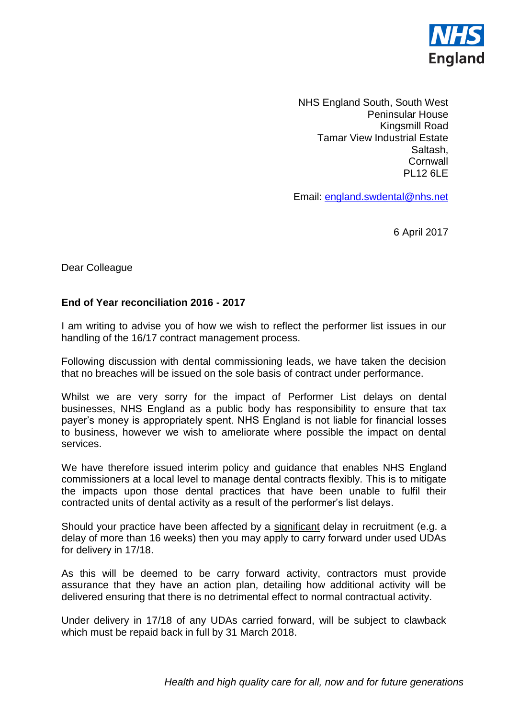

NHS England South, South West Peninsular House Kingsmill Road Tamar View Industrial Estate Saltash, **Cornwall** PL12 6LE

Email: [england.swdental@nhs.net](mailto:england.swdental@nhs.net)

6 April 2017

Dear Colleague

## **End of Year reconciliation 2016 - 2017**

I am writing to advise you of how we wish to reflect the performer list issues in our handling of the 16/17 contract management process.

Following discussion with dental commissioning leads, we have taken the decision that no breaches will be issued on the sole basis of contract under performance.

Whilst we are very sorry for the impact of Performer List delays on dental businesses, NHS England as a public body has responsibility to ensure that tax payer's money is appropriately spent. NHS England is not liable for financial losses to business, however we wish to ameliorate where possible the impact on dental services.

We have therefore issued interim policy and guidance that enables NHS England commissioners at a local level to manage dental contracts flexibly. This is to mitigate the impacts upon those dental practices that have been unable to fulfil their contracted units of dental activity as a result of the performer's list delays.

Should your practice have been affected by a significant delay in recruitment (e.g. a delay of more than 16 weeks) then you may apply to carry forward under used UDAs for delivery in 17/18.

As this will be deemed to be carry forward activity, contractors must provide assurance that they have an action plan, detailing how additional activity will be delivered ensuring that there is no detrimental effect to normal contractual activity.

Under delivery in 17/18 of any UDAs carried forward, will be subject to clawback which must be repaid back in full by 31 March 2018.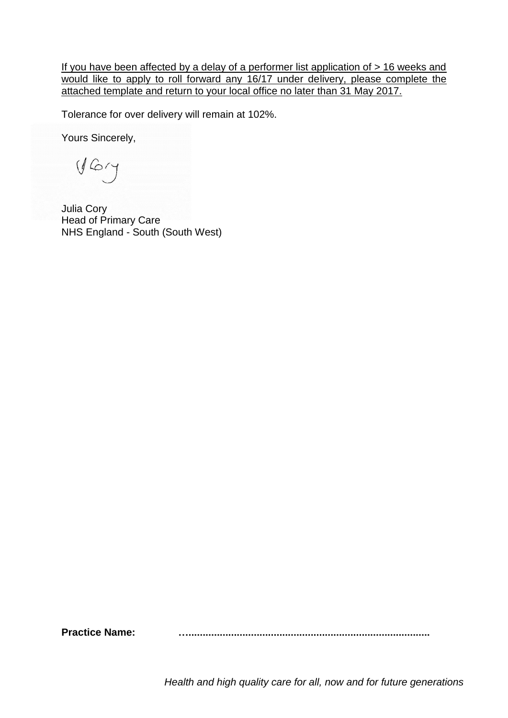If you have been affected by a delay of a performer list application of  $> 16$  weeks and would like to apply to roll forward any 16/17 under delivery, please complete the attached template and return to your local office no later than 31 May 2017.

Tolerance for over delivery will remain at 102%.

Yours Sincerely,

 $y$  Gry

Julia Cory Head of Primary Care NHS England - South (South West)

Practice Name: **with an action of the Carolina Control** of Practice Name:

*Health and high quality care for all, now and for future generations*